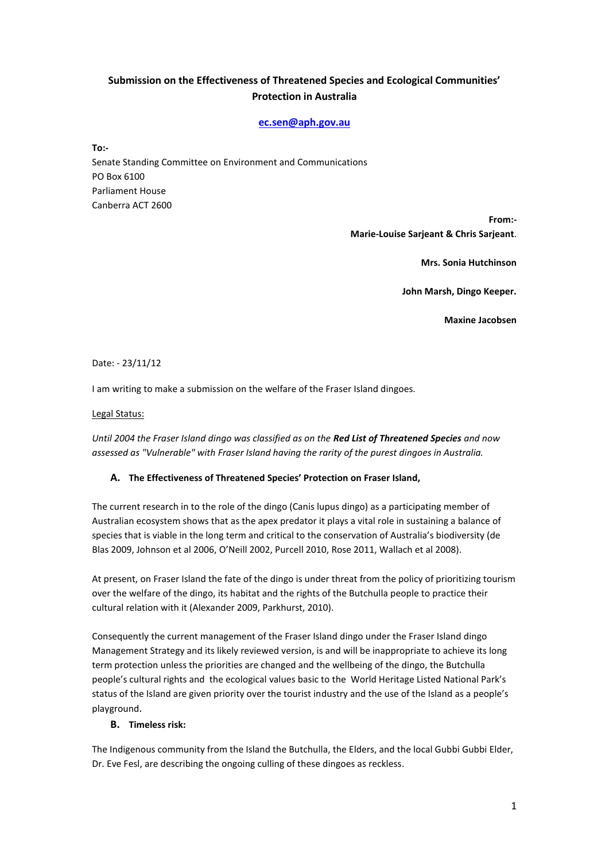# **Submission on the Effectiveness of Threatened Species and Ecological Communities' Protection in Australia**

# **[ec.sen@aph.gov.au](mailto:ec.sen@aph.gov.au)**

**To:-** Senate Standing Committee on Environment and Communications PO Box 6100 Parliament House Canberra ACT 2600

> **From:- Marie-Louise Sarjeant & Chris Sarjeant**.

> > **Mrs. Sonia Hutchinson**

**John Marsh, Dingo Keeper.**

**Maxine Jacobsen**

## Date: - 23/11/12

I am writing to make a submission on the welfare of the Fraser Island dingoes.

#### Legal Status:

*Until 2004 the Fraser Island dingo was classified as on the Red List of Threatened Species and now assessed as "Vulnerable" with Fraser Island having the rarity of the purest dingoes in Australia.*

## **A. The Effectiveness of Threatened Species' Protection on Fraser Island,**

The current research in to the role of the dingo (Canis lupus dingo) as a participating member of Australian ecosystem shows that as the apex predator it plays a vital role in sustaining a balance of species that is viable in the long term and critical to the conservation of Australia's biodiversity (de Blas 2009, Johnson et al 2006, O'Neill 2002, Purcell 2010, Rose 2011, Wallach et al 2008).

At present, on Fraser Island the fate of the dingo is under threat from the policy of prioritizing tourism over the welfare of the dingo, its habitat and the rights of the Butchulla people to practice their cultural relation with it (Alexander 2009, Parkhurst, 2010).

Consequently the current management of the Fraser Island dingo under the Fraser Island dingo Management Strategy and its likely reviewed version, is and will be inappropriate to achieve its long term protection unless the priorities are changed and the wellbeing of the dingo, the Butchulla people's cultural rights and the ecological values basic to the World Heritage Listed National Park's status of the Island are given priority over the tourist industry and the use of the Island as a people's playground.

## **B. Timeless risk:**

The Indigenous community from the Island the Butchulla, the Elders, and the local Gubbi Gubbi Elder, Dr. Eve Fesl, are describing the ongoing culling of these dingoes as reckless.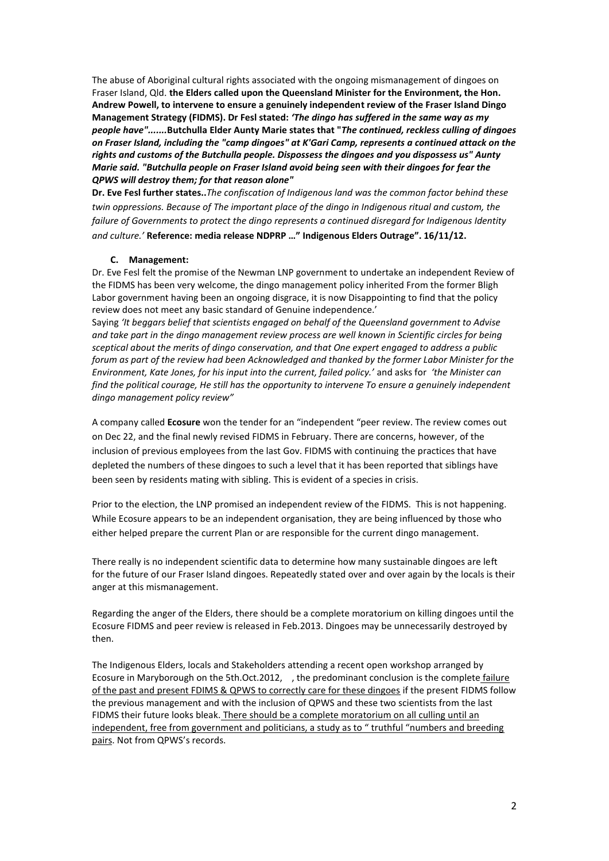The abuse of Aboriginal cultural rights associated with the ongoing mismanagement of dingoes on Fraser Island, Qld. **the Elders called upon the Queensland Minister for the Environment, the Hon. Andrew Powell, to intervene to ensure a genuinely independent review of the Fraser Island Dingo Management Strategy (FIDMS). Dr Fesl stated:** *'The dingo has suffered in the same way as my people have".......***Butchulla Elder Aunty Marie states that "***The continued, reckless culling of dingoes on Fraser Island, including the "camp dingoes" at K'Gari Camp, represents a continued attack on the rights and customs of the Butchulla people. Dispossess the dingoes and you dispossess us" Aunty Marie said. "Butchulla people on Fraser Island avoid being seen with their dingoes for fear the QPWS will destroy them; for that reason alone"* 

**Dr. Eve Fesl further states..***The confiscation of Indigenous land was the common factor behind these twin oppressions. Because of The important place of the dingo in Indigenous ritual and custom, the failure of Governments to protect the dingo represents a continued disregard for Indigenous Identity and culture.'* **Reference: media release NDPRP …" Indigenous Elders Outrage". 16/11/12.**

#### **C. Management:**

Dr. Eve Fesl felt the promise of the Newman LNP government to undertake an independent Review of the FIDMS has been very welcome, the dingo management policy inherited From the former Bligh Labor government having been an ongoing disgrace, it is now Disappointing to find that the policy review does not meet any basic standard of Genuine independence.'

Saying *'It beggars belief that scientists engaged on behalf of the Queensland government to Advise and take part in the dingo management review process are well known in Scientific circles for being sceptical about the merits of dingo conservation, and that One expert engaged to address a public forum as part of the review had been Acknowledged and thanked by the former Labor Minister for the Environment, Kate Jones, for his input into the current, failed policy.'* and asks for *'the Minister can find the political courage, He still has the opportunity to intervene To ensure a genuinely independent dingo management policy review"*

A company called **Ecosure** won the tender for an "independent "peer review. The review comes out on Dec 22, and the final newly revised FIDMS in February. There are concerns, however, of the inclusion of previous employees from the last Gov. FIDMS with continuing the practices that have depleted the numbers of these dingoes to such a level that it has been reported that siblings have been seen by residents mating with sibling. This is evident of a species in crisis.

Prior to the election, the LNP promised an independent review of the FIDMS. This is not happening. While Ecosure appears to be an independent organisation, they are being influenced by those who either helped prepare the current Plan or are responsible for the current dingo management.

There really is no independent scientific data to determine how many sustainable dingoes are left for the future of our Fraser Island dingoes. Repeatedly stated over and over again by the locals is their anger at this mismanagement.

Regarding the anger of the Elders, there should be a complete moratorium on killing dingoes until the Ecosure FIDMS and peer review is released in Feb.2013. Dingoes may be unnecessarily destroyed by then.

The Indigenous Elders, locals and Stakeholders attending a recent open workshop arranged by Ecosure in Maryborough on the 5th.Oct.2012, , the predominant conclusion is the complete failure of the past and present FDIMS & QPWS to correctly care for these dingoes if the present FIDMS follow the previous management and with the inclusion of QPWS and these two scientists from the last FIDMS their future looks bleak. There should be a complete moratorium on all culling until an independent, free from government and politicians, a study as to " truthful "numbers and breeding pairs. Not from QPWS's records.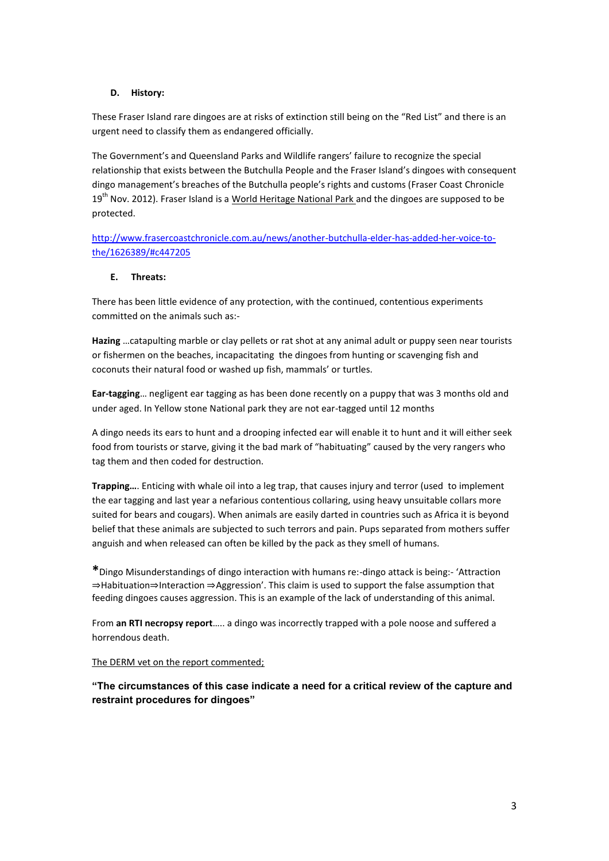# **D. History:**

These Fraser Island rare dingoes are at risks of extinction still being on the "Red List" and there is an urgent need to classify them as endangered officially.

The Government's and Queensland Parks and Wildlife rangers' failure to recognize the special relationship that exists between the Butchulla People and the Fraser Island's dingoes with consequent dingo management's breaches of the Butchulla people's rights and customs (Fraser Coast Chronicle 19<sup>th</sup> Nov. 2012). Fraser Island is a World Heritage National Park and the dingoes are supposed to be protected.

[http://www.frasercoastchronicle.com.au/news/another-butchulla-elder-has-added-her-voice-to](http://www.frasercoastchronicle.com.au/news/another-butchulla-elder-has-added-her-voice-to-the/1626389/#c447205)[the/1626389/#c447205](http://www.frasercoastchronicle.com.au/news/another-butchulla-elder-has-added-her-voice-to-the/1626389/#c447205)

## **E. Threats:**

There has been little evidence of any protection, with the continued, contentious experiments committed on the animals such as:-

**Hazing** …catapulting marble or clay pellets or rat shot at any animal adult or puppy seen near tourists or fishermen on the beaches, incapacitating the dingoes from hunting or scavenging fish and coconuts their natural food or washed up fish, mammals' or turtles.

**Ear-tagging**… negligent ear tagging as has been done recently on a puppy that was 3 months old and under aged. In Yellow stone National park they are not ear-tagged until 12 months

A dingo needs its ears to hunt and a drooping infected ear will enable it to hunt and it will either seek food from tourists or starve, giving it the bad mark of "habituating" caused by the very rangers who tag them and then coded for destruction.

**Trapping…**. Enticing with whale oil into a leg trap, that causes injury and terror (used to implement the ear tagging and last year a nefarious contentious collaring, using heavy unsuitable collars more suited for bears and cougars). When animals are easily darted in countries such as Africa it is beyond belief that these animals are subjected to such terrors and pain. Pups separated from mothers suffer anguish and when released can often be killed by the pack as they smell of humans.

**\***Dingo Misunderstandings of dingo interaction with humans re:-dingo attack is being:- 'Attraction ⇒Habituation⇒Interaction ⇒Aggression'. This claim is used to support the false assumption that feeding dingoes causes aggression. This is an example of the lack of understanding of this animal.

From **an RTI necropsy report**….. a dingo was incorrectly trapped with a pole noose and suffered a horrendous death.

## The DERM vet on the report commented;

**"The circumstances of this case indicate a need for a critical review of the capture and restraint procedures for dingoes"**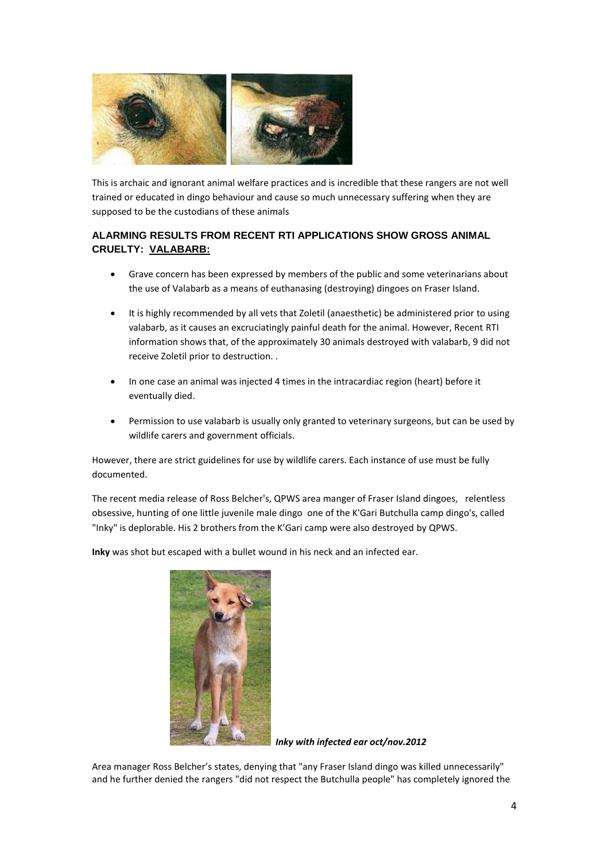

This is archaic and ignorant animal welfare practices and is incredible that these rangers are not well trained or educated in dingo behaviour and cause so much unnecessary suffering when they are supposed to be the custodians of these animals

# **ALARMING RESULTS FROM RECENT RTI APPLICATIONS SHOW GROSS ANIMAL CRUELTY: VALABARB:**

- Grave concern has been expressed by members of the public and some veterinarians about the use of Valabarb as a means of euthanasing (destroying) dingoes on Fraser Island.
- It is highly recommended by all vets that Zoletil (anaesthetic) be administered prior to using valabarb, as it causes an excruciatingly painful death for the animal. However, Recent RTI information shows that, of the approximately 30 animals destroyed with valabarb, 9 did not receive Zoletil prior to destruction. .
- In one case an animal was injected 4 times in the intracardiac region (heart) before it eventually died.
- Permission to use valabarb is usually only granted to veterinary surgeons, but can be used by wildlife carers and government officials.

However, there are strict guidelines for use by wildlife carers. Each instance of use must be fully documented.

The recent media release of Ross Belcher's, QPWS area manger of Fraser Island dingoes, relentless obsessive, hunting of one little juvenile male dingo one of the K'Gari Butchulla camp dingo's, called "Inky" is deplorable. His 2 brothers from the K'Gari camp were also destroyed by QPWS.

**Inky** was shot but escaped with a bullet wound in his neck and an infected ear.



*Inky with infected ear oct/nov.2012*

Area manager Ross Belcher's states, denying that "any Fraser Island dingo was killed unnecessarily" and he further denied the rangers "did not respect the Butchulla people" has completely ignored the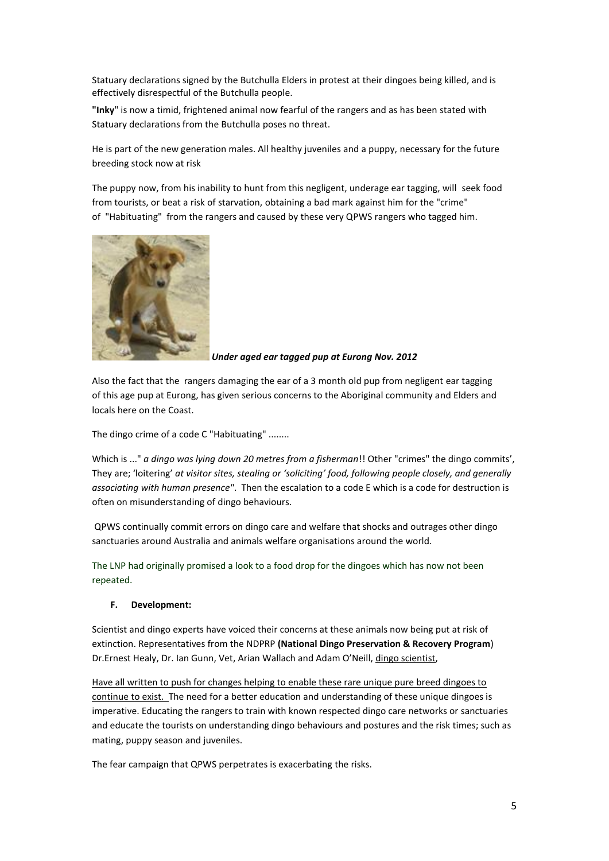Statuary declarations signed by the Butchulla Elders in protest at their dingoes being killed, and is effectively disrespectful of the Butchulla people.

**"Inky**" is now a timid, frightened animal now fearful of the rangers and as has been stated with Statuary declarations from the Butchulla poses no threat.

He is part of the new generation males. All healthy juveniles and a puppy, necessary for the future breeding stock now at risk

The puppy now, from his inability to hunt from this negligent, underage ear tagging, will seek food from tourists, or beat a risk of starvation, obtaining a bad mark against him for the "crime" of "Habituating" from the rangers and caused by these very QPWS rangers who tagged him.



*Under aged ear tagged pup at Eurong Nov. 2012*

Also the fact that the rangers damaging the ear of a 3 month old pup from negligent ear tagging of this age pup at Eurong, has given serious concerns to the Aboriginal community and Elders and locals here on the Coast.

The dingo crime of a code C "Habituating" ........

Which is ..." *a dingo was lying down 20 metres from a fisherman*!! Other "crimes" the dingo commits', They are; 'loitering' *at visitor sites, stealing or 'soliciting' food, following people closely, and generally associating with human presence"*. Then the escalation to a code E which is a code for destruction is often on misunderstanding of dingo behaviours.

QPWS continually commit errors on dingo care and welfare that shocks and outrages other dingo sanctuaries around Australia and animals welfare organisations around the world.

The LNP had originally promised a look to a food drop for the dingoes which has now not been repeated.

## **F. Development:**

Scientist and dingo experts have voiced their concerns at these animals now being put at risk of extinction. Representatives from the NDPRP **(National Dingo Preservation & Recovery Program**) Dr.Ernest Healy, Dr. Ian Gunn, Vet, Arian Wallach and Adam O'Neill, dingo scientist,

Have all written to push for changes helping to enable these rare unique pure breed dingoes to continue to exist. The need for a better education and understanding of these unique dingoes is imperative. Educating the rangers to train with known respected dingo care networks or sanctuaries and educate the tourists on understanding dingo behaviours and postures and the risk times; such as mating, puppy season and juveniles.

The fear campaign that QPWS perpetrates is exacerbating the risks.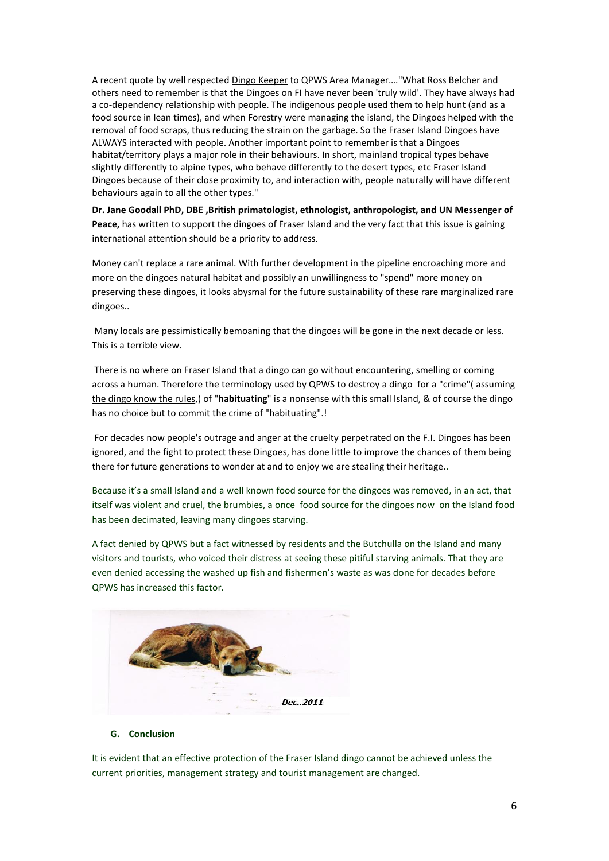A recent quote by well respected Dingo Keeper to QPWS Area Manager…."What Ross Belcher and others need to remember is that the Dingoes on FI have never been 'truly wild'. They have always had a co-dependency relationship with people. The indigenous people used them to help hunt (and as a food source in lean times), and when Forestry were managing the island, the Dingoes helped with the removal of food scraps, thus reducing the strain on the garbage. So the Fraser Island Dingoes have ALWAYS interacted with people. Another important point to remember is that a Dingoes habitat/territory plays a major role in their behaviours. In short, mainland tropical types behave slightly differently to alpine types, who behave differently to the desert types, etc Fraser Island Dingoes because of their close proximity to, and interaction with, people naturally will have different behaviours again to all the other types."

**Dr. Jane Goodall PhD, DBE ,British primatologist, ethnologist, anthropologist, and UN Messenger of Peace,** has written to support the dingoes of Fraser Island and the very fact that this issue is gaining international attention should be a priority to address.

Money can't replace a rare animal. With further development in the pipeline encroaching more and more on the dingoes natural habitat and possibly an unwillingness to "spend" more money on preserving these dingoes, it looks abysmal for the future sustainability of these rare marginalized rare dingoes..

Many locals are pessimistically bemoaning that the dingoes will be gone in the next decade or less. This is a terrible view.

There is no where on Fraser Island that a dingo can go without encountering, smelling or coming across a human. Therefore the terminology used by QPWS to destroy a dingo for a "crime"( assuming the dingo know the rules,) of "**habituating**" is a nonsense with this small Island, & of course the dingo has no choice but to commit the crime of "habituating".!

For decades now people's outrage and anger at the cruelty perpetrated on the F.I. Dingoes has been ignored, and the fight to protect these Dingoes, has done little to improve the chances of them being there for future generations to wonder at and to enjoy we are stealing their heritage..

Because it's a small Island and a well known food source for the dingoes was removed, in an act, that itself was violent and cruel, the brumbies, a once food source for the dingoes now on the Island food has been decimated, leaving many dingoes starving.

A fact denied by QPWS but a fact witnessed by residents and the Butchulla on the Island and many visitors and tourists, who voiced their distress at seeing these pitiful starving animals. That they are even denied accessing the washed up fish and fishermen's waste as was done for decades before QPWS has increased this factor.



# **G. Conclusion**

It is evident that an effective protection of the Fraser Island dingo cannot be achieved unless the current priorities, management strategy and tourist management are changed.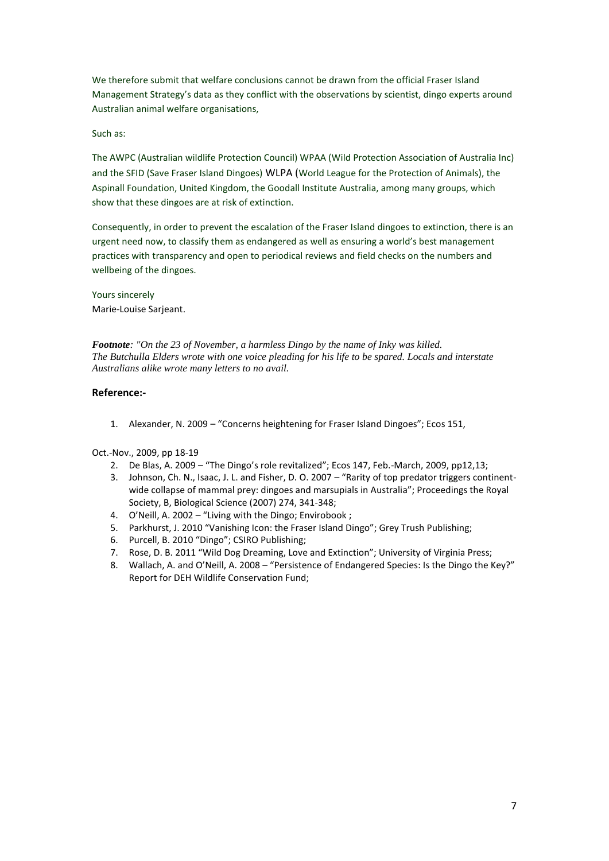We therefore submit that welfare conclusions cannot be drawn from the official Fraser Island Management Strategy's data as they conflict with the observations by scientist, dingo experts around Australian animal welfare organisations,

# Such as:

The AWPC (Australian wildlife Protection Council) WPAA (Wild Protection Association of Australia Inc) and the SFID (Save Fraser Island Dingoes) WLPA (World League for the Protection of Animals), the Aspinall Foundation, United Kingdom, the Goodall Institute Australia, among many groups, which show that these dingoes are at risk of extinction.

Consequently, in order to prevent the escalation of the Fraser Island dingoes to extinction, there is an urgent need now, to classify them as endangered as well as ensuring a world's best management practices with transparency and open to periodical reviews and field checks on the numbers and wellbeing of the dingoes.

Yours sincerely Marie-Louise Sarjeant.

*Footnote: "On the 23 of November, a harmless Dingo by the name of Inky was killed. The Butchulla Elders wrote with one voice pleading for his life to be spared. Locals and interstate Australians alike wrote many letters to no avail.* 

# **Reference:-**

1. Alexander, N. 2009 – "Concerns heightening for Fraser Island Dingoes"; Ecos 151,

Oct.-Nov., 2009, pp 18-19

- 2. De Blas, A. 2009 "The Dingo's role revitalized"; Ecos 147, Feb.-March, 2009, pp12,13;
- 3. Johnson, Ch. N., Isaac, J. L. and Fisher, D. O. 2007 "Rarity of top predator triggers continentwide collapse of mammal prey: dingoes and marsupials in Australia"; Proceedings the Royal Society, B, Biological Science (2007) 274, 341-348;
- 4. O'Neill, A. 2002 "Living with the Dingo; Envirobook ;
- 5. Parkhurst, J. 2010 "Vanishing Icon: the Fraser Island Dingo"; Grey Trush Publishing;
- 6. Purcell, B. 2010 "Dingo"; CSIRO Publishing;
- 7. Rose, D. B. 2011 "Wild Dog Dreaming, Love and Extinction"; University of Virginia Press;
- 8. Wallach, A. and O'Neill, A. 2008 "Persistence of Endangered Species: Is the Dingo the Key?" Report for DEH Wildlife Conservation Fund;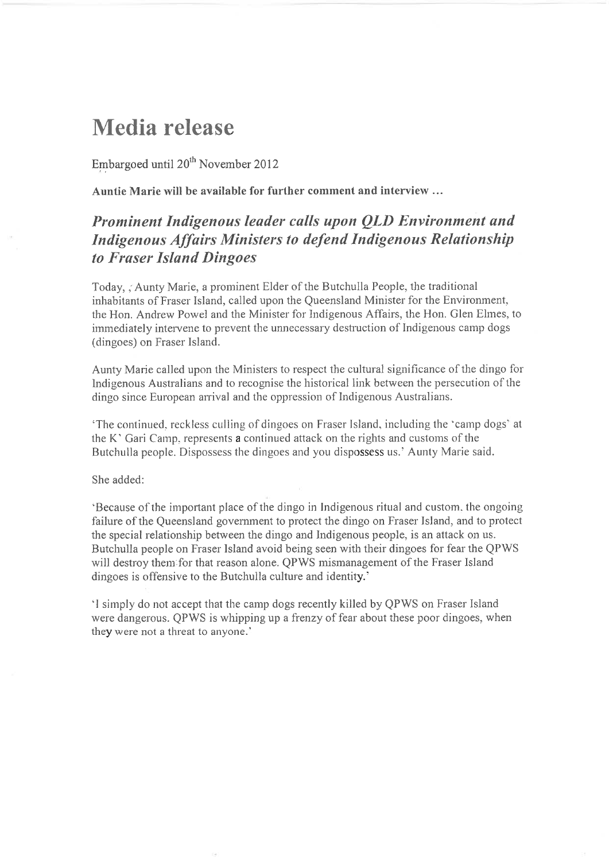# **Media release**

Embargoed until 20<sup>th</sup> November 2012

Auntie Marie will be available for further comment and interview ...

# Prominent Indigenous leader calls upon OLD Environment and **Indigenous Affairs Ministers to defend Indigenous Relationship** to Fraser Island Dingoes

Today, Aunty Marie, a prominent Elder of the Butchulla People, the traditional inhabitants of Fraser Island, called upon the Queensland Minister for the Environment, the Hon. Andrew Powel and the Minister for Indigenous Affairs, the Hon. Glen Elmes, to immediately intervene to prevent the unnecessary destruction of Indigenous camp dogs (dingoes) on Fraser Island.

Aunty Marie called upon the Ministers to respect the cultural significance of the dingo for Indigenous Australians and to recognise the historical link between the persecution of the dingo since European arrival and the oppression of Indigenous Australians.

'The continued, reckless culling of dingoes on Fraser Island, including the 'camp dogs' at the K' Gari Camp, represents a continued attack on the rights and customs of the Butchulla people. Dispossess the dingoes and you dispossess us.' Aunty Marie said.

# She added:

'Because of the important place of the dingo in Indigenous ritual and custom, the ongoing failure of the Queensland government to protect the dingo on Fraser Island, and to protect the special relationship between the dingo and Indigenous people, is an attack on us. Butchulla people on Fraser Island avoid being seen with their dingoes for fear the QPWS will destroy them for that reason alone. QPWS mismanagement of the Fraser Island dingoes is offensive to the Butchulla culture and identity.'

'I simply do not accept that the camp dogs recently killed by QPWS on Fraser Island were dangerous. QPWS is whipping up a frenzy of fear about these poor dingoes, when they were not a threat to anyone.<sup>3</sup>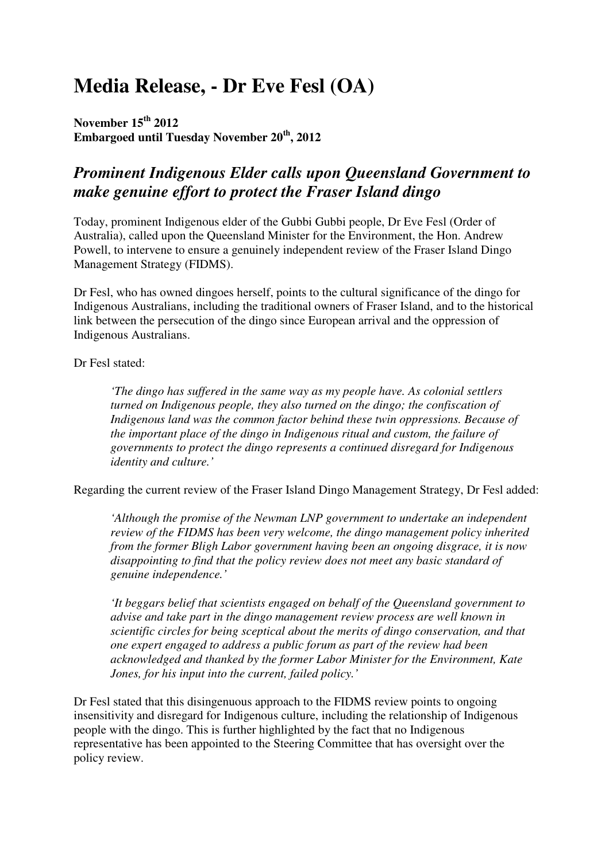# **Media Release, - Dr Eve Fesl (OA)**

**November 15th 2012 Embargoed until Tuesday November 20th, 2012** 

# *Prominent Indigenous Elder calls upon Queensland Government to make genuine effort to protect the Fraser Island dingo*

Today, prominent Indigenous elder of the Gubbi Gubbi people, Dr Eve Fesl (Order of Australia), called upon the Queensland Minister for the Environment, the Hon. Andrew Powell, to intervene to ensure a genuinely independent review of the Fraser Island Dingo Management Strategy (FIDMS).

Dr Fesl, who has owned dingoes herself, points to the cultural significance of the dingo for Indigenous Australians, including the traditional owners of Fraser Island, and to the historical link between the persecution of the dingo since European arrival and the oppression of Indigenous Australians.

Dr Fesl stated:

*'The dingo has suffered in the same way as my people have. As colonial settlers turned on Indigenous people, they also turned on the dingo; the confiscation of Indigenous land was the common factor behind these twin oppressions. Because of the important place of the dingo in Indigenous ritual and custom, the failure of governments to protect the dingo represents a continued disregard for Indigenous identity and culture.'* 

Regarding the current review of the Fraser Island Dingo Management Strategy, Dr Fesl added:

*'Although the promise of the Newman LNP government to undertake an independent review of the FIDMS has been very welcome, the dingo management policy inherited from the former Bligh Labor government having been an ongoing disgrace, it is now disappointing to find that the policy review does not meet any basic standard of genuine independence.'* 

*'It beggars belief that scientists engaged on behalf of the Queensland government to advise and take part in the dingo management review process are well known in scientific circles for being sceptical about the merits of dingo conservation, and that one expert engaged to address a public forum as part of the review had been acknowledged and thanked by the former Labor Minister for the Environment, Kate Jones, for his input into the current, failed policy.'* 

Dr Fesl stated that this disingenuous approach to the FIDMS review points to ongoing insensitivity and disregard for Indigenous culture, including the relationship of Indigenous people with the dingo. This is further highlighted by the fact that no Indigenous representative has been appointed to the Steering Committee that has oversight over the policy review.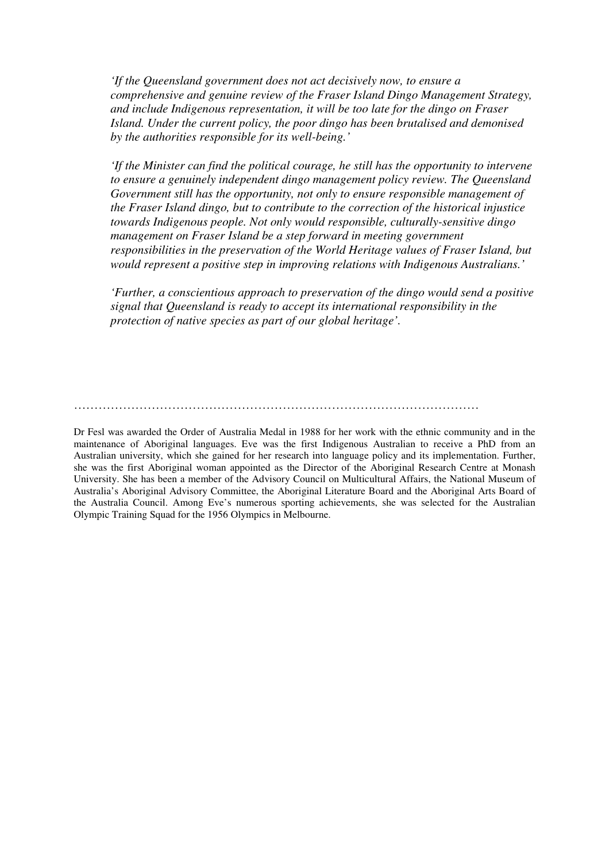*'If the Queensland government does not act decisively now, to ensure a comprehensive and genuine review of the Fraser Island Dingo Management Strategy, and include Indigenous representation, it will be too late for the dingo on Fraser Island. Under the current policy, the poor dingo has been brutalised and demonised by the authorities responsible for its well-being.'* 

*'If the Minister can find the political courage, he still has the opportunity to intervene to ensure a genuinely independent dingo management policy review. The Queensland Government still has the opportunity, not only to ensure responsible management of the Fraser Island dingo, but to contribute to the correction of the historical injustice towards Indigenous people. Not only would responsible, culturally-sensitive dingo management on Fraser Island be a step forward in meeting government responsibilities in the preservation of the World Heritage values of Fraser Island, but would represent a positive step in improving relations with Indigenous Australians.'* 

*'Further, a conscientious approach to preservation of the dingo would send a positive signal that Queensland is ready to accept its international responsibility in the protection of native species as part of our global heritage'.* 

………………………………………………………………………………………

Dr Fesl was awarded the Order of Australia Medal in 1988 for her work with the ethnic community and in the maintenance of Aboriginal languages. Eve was the first Indigenous Australian to receive a PhD from an Australian university, which she gained for her research into language policy and its implementation. Further, she was the first Aboriginal woman appointed as the Director of the Aboriginal Research Centre at Monash University. She has been a member of the Advisory Council on Multicultural Affairs, the National Museum of Australia's Aboriginal Advisory Committee, the Aboriginal Literature Board and the Aboriginal Arts Board of the Australia Council. Among Eve's numerous sporting achievements, she was selected for the Australian Olympic Training Squad for the 1956 Olympics in Melbourne.